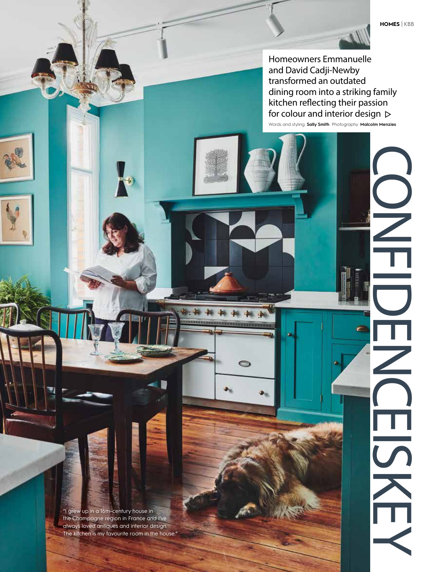**CONFIDENCE** 

 $\overline{\mathbf{S}}$ 

 $\sum_{i=1}^{n}$ 

ċ

ా

 $\frac{1}{\sqrt{2}}$ 

Homeowners Emmanuelle and David Cadji-Newby transformed an outdated dining room into a striking family kitchen reflecting their passion for colour and interior design  $\triangleright$ 

 $\mathbf{H}$ 

Words and styling: **Sally Smith** Photography: **Malcolm Menzies**

"I grew up in a 16th-century house in the Champagne region in France and I've always loved antiques and interior design. The kitchen is my favourite room in the house."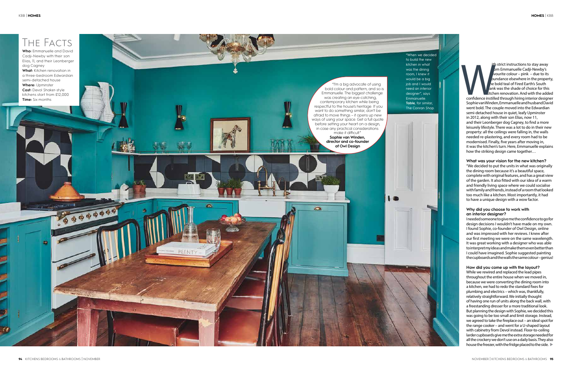ith strict instructions to stay away  $\emph{bm}$  Emmanuelle Cadji-Newby's vourite colour – pink – due to its  $b$ undance elsewhere in the property, e bold teal of Fired Earth's South  $\mathsf{k}$ ank was the shade of choice for this kitchen renovation. And with the added confidence instilled through hiring interior designer Sophie van Winden, Emmanuelle and husband David went bold. The couple moved into the Edwardian semi-detached house in quiet, leafy Upminster in 2012, along with their son Elias, now 11, and their Leonberger dog Cagney, to find a more leisurely lifestyle. There was a lot to do in their new property: all the ceilings were falling in, the walls needed re-plastering, and every room had to be modernised. Finally, five years after moving in, it was the kitchen's turn. Here, Emmanuelle explains how the striking design came together… The trial instructions to stay away for the proper interaction of the probable conformed the book book of the book of the book of the book of the book of the should the couple moved into the download Sophievan Winden, Emma

While we rewired and replaced the lead pipes throughout the entire house when we moved in, because we were converting the dining room into a kitchen, we had to redo the standard fixes for plumbing and electrics – which was, thankfully, relatively straightforward. We initially thought of having one run of units along the back wall, with a freestanding dresser for a more traditional look. But planning the design with Sophie, we decided this was going to be too small and limit storage. Instead, we agreed to take the fireplace out – an ideal spot for the range cooker – and went for a U-shaped layout with cabinetry from Devol instead. Floor-to-ceiling larder cupboards give me the extra storage needed for all the crockery we don't use on a daily basis. They also house the freezer, with the fridge placed to the side.

#### **What was your vision for the new kitchen?**

"We decided to put the units in what was originally the dining room because it's a beautiful space, complete with original features, and has a great view of the garden. It also fitted with our idea of a warm and friendly living space where we could socialise with family and friends, instead of a room that looked too much like a kitchen. Most importantly, it had to have a unique design with a wow factor.

## **Why did you choose to work with an interior designer?**

I needed someone to give me the confidence to go for design decisions I wouldn't have made on my own. I found Sophie, co-founder of Owl Design, online and was impressed with her reviews. I knew after our first meeting we were on the same wavelength. It was great working with a designer who was able to interpret my ideas and make them even better than I could have imagined. Sophie suggested painting the cupboards and the walls the same colour – genius!

#### **How did you come up with the layout?**

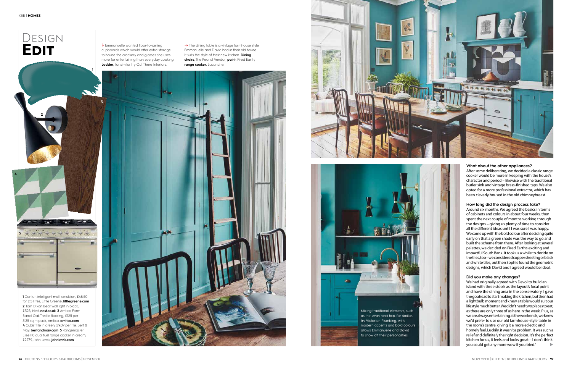# DESIGN **EDIT**



**1** Canton intelligent matt emulsion, £48.50 for 2.5 litres, Little Greene. **littlegreene.com 2** Tom Dixon Beat wall light in black, £325, Nest. **nest.co.uk 3** Amtico Form Barrel Oak Trestle flooring, £125 per 3.25 sq m pack, Amtico. **amtico.com 4** Cubist tile in green, £9.07 per tile, Bert & May. **bertandmay.com 5** Rangemaster Elise 110 dual fuel range cooker in cream, £2279, John Lewis. **johnlewis.com**

# **What about the other appliances?**

After some deliberating, we decided a classic range cooker would be more in keeping with the house's character and period – likewise with the traditional butler sink and vintage brass-finished taps. We also opted for a more professional extractor, which has been cleverly housed in the old chimneybreast.

### **How long did the design process take?**

Around six months. We agreed the basics in terms of cabinets and colours in about four weeks, then spent the next couple of months working through the designs – giving us plenty of time to consider all the different ideas until I was sure I was happy. We came up with the bold colour after deciding quite early on that a green shade was the way to go and built the scheme from there. After looking at several palettes, we decided on Fired Earth's exciting and impactful South Bank. It took us a while to decide on the tiles, too – we considered copper sheeting or black and white tiles, but then Sophie found the geometric designs, which David and I agreed would be ideal.

 $\rightarrow$  The dining table is a vintage farmhouse style Emmanuelle and David had in their old house. It suits the style of their new kitchen. **Dining chairs**, The Peanut Vendor; **paint**, Fired Earth; **range cooker**, Lacanche.



### **Did you make any changes?**

We had originally agreed with Devol to build an island with three stools as the layout's focal point and have the dining area in the conservatory. I gave the go ahead to start making the kitchen, but then had a lightbulb moment and knew a table would suit our lifestyle much better. We didn't need two places to eat, as there are only three of us here in the week. Plus, as we are always entertaining at the weekends, we knew we'd prefer to use our old farmhouse-style table in the room's centre, giving it a more eclectic and homely feel. Luckily, it wasn't a problem. It was such a relief and definitely the right decision. It's the perfect kitchen for us, it feels and looks great – I don't think you could get any more wow if you tried." u

**1**

**2**

**3**

**4**

**5**

↓ Emmanuelle wanted floor-to-ceiling cupboards which would offer extra storage to house the crockery and glasses she uses more for entertaining than everyday cooking. **Ladder**, for similar try Out There Interiors.